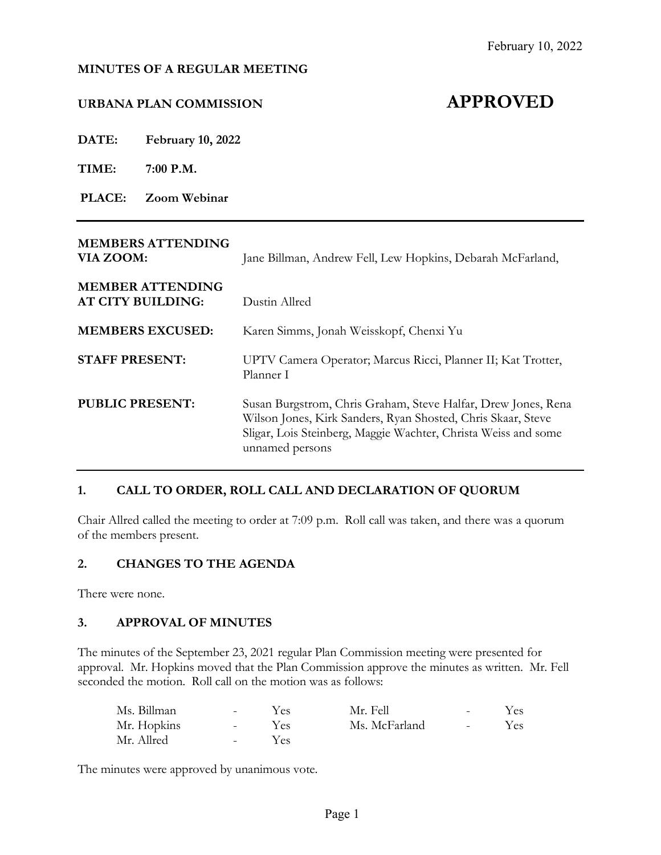#### **MINUTES OF A REGULAR MEETING**

# **URBANA PLAN COMMISSION APPROVED**

**DATE: February 10, 2022**

**TIME: 7:00 P.M.**

**PLACE: Zoom Webinar**

| <b>MEMBERS ATTENDING</b><br>VIA ZOOM:               | Jane Billman, Andrew Fell, Lew Hopkins, Debarah McFarland,                                                                                                                                                         |  |  |
|-----------------------------------------------------|--------------------------------------------------------------------------------------------------------------------------------------------------------------------------------------------------------------------|--|--|
| <b>MEMBER ATTENDING</b><br><b>AT CITY BUILDING:</b> | Dustin Allred                                                                                                                                                                                                      |  |  |
| <b>MEMBERS EXCUSED:</b>                             | Karen Simms, Jonah Weisskopf, Chenxi Yu                                                                                                                                                                            |  |  |
| <b>STAFF PRESENT:</b>                               | UPTV Camera Operator; Marcus Ricci, Planner II; Kat Trotter,<br>Planner I                                                                                                                                          |  |  |
| <b>PUBLIC PRESENT:</b>                              | Susan Burgstrom, Chris Graham, Steve Halfar, Drew Jones, Rena<br>Wilson Jones, Kirk Sanders, Ryan Shosted, Chris Skaar, Steve<br>Sligar, Lois Steinberg, Maggie Wachter, Christa Weiss and some<br>unnamed persons |  |  |

#### **1. CALL TO ORDER, ROLL CALL AND DECLARATION OF QUORUM**

Chair Allred called the meeting to order at 7:09 p.m. Roll call was taken, and there was a quorum of the members present.

#### **2. CHANGES TO THE AGENDA**

There were none.

#### **3. APPROVAL OF MINUTES**

The minutes of the September 23, 2021 regular Plan Commission meeting were presented for approval. Mr. Hopkins moved that the Plan Commission approve the minutes as written. Mr. Fell seconded the motion. Roll call on the motion was as follows:

| Ms. Billman | $\sim$ 10 $\,$  | Yes | Mr. Fell      | $\sim$         | Yes |
|-------------|-----------------|-----|---------------|----------------|-----|
| Mr. Hopkins | $\sim$ 10 $\pm$ | Yes | Ms. McFarland | <b>Service</b> | Yes |
| Mr. Allred  | <b>Service</b>  | Yes |               |                |     |

The minutes were approved by unanimous vote.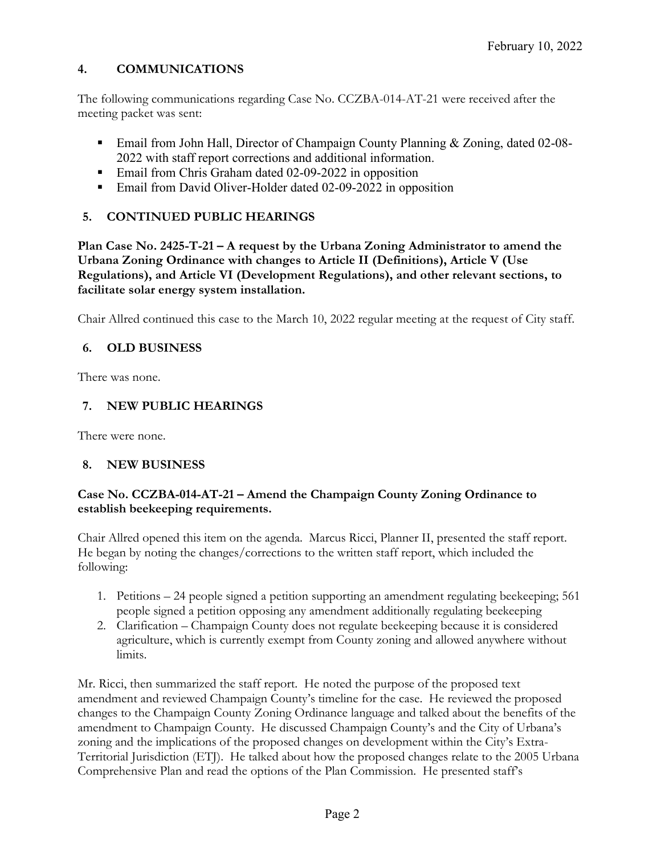## **4. COMMUNICATIONS**

The following communications regarding Case No. CCZBA-014-AT-21 were received after the meeting packet was sent:

- Email from John Hall, Director of Champaign County Planning & Zoning, dated 02-08- 2022 with staff report corrections and additional information.
- Email from Chris Graham dated 02-09-2022 in opposition
- **Email from David Oliver-Holder dated 02-09-2022 in opposition**

## **5. CONTINUED PUBLIC HEARINGS**

**Plan Case No. 2425-T-21 – A request by the Urbana Zoning Administrator to amend the Urbana Zoning Ordinance with changes to Article II (Definitions), Article V (Use Regulations), and Article VI (Development Regulations), and other relevant sections, to facilitate solar energy system installation.**

Chair Allred continued this case to the March 10, 2022 regular meeting at the request of City staff.

#### **6. OLD BUSINESS**

There was none.

## **7. NEW PUBLIC HEARINGS**

There were none.

#### **8. NEW BUSINESS**

#### **Case No. CCZBA-014-AT-21 – Amend the Champaign County Zoning Ordinance to establish beekeeping requirements.**

Chair Allred opened this item on the agenda. Marcus Ricci, Planner II, presented the staff report. He began by noting the changes/corrections to the written staff report, which included the following:

- 1. Petitions 24 people signed a petition supporting an amendment regulating beekeeping; 561 people signed a petition opposing any amendment additionally regulating beekeeping
- 2. Clarification Champaign County does not regulate beekeeping because it is considered agriculture, which is currently exempt from County zoning and allowed anywhere without limits.

Mr. Ricci, then summarized the staff report. He noted the purpose of the proposed text amendment and reviewed Champaign County's timeline for the case. He reviewed the proposed changes to the Champaign County Zoning Ordinance language and talked about the benefits of the amendment to Champaign County. He discussed Champaign County's and the City of Urbana's zoning and the implications of the proposed changes on development within the City's Extra-Territorial Jurisdiction (ETJ). He talked about how the proposed changes relate to the 2005 Urbana Comprehensive Plan and read the options of the Plan Commission. He presented staff's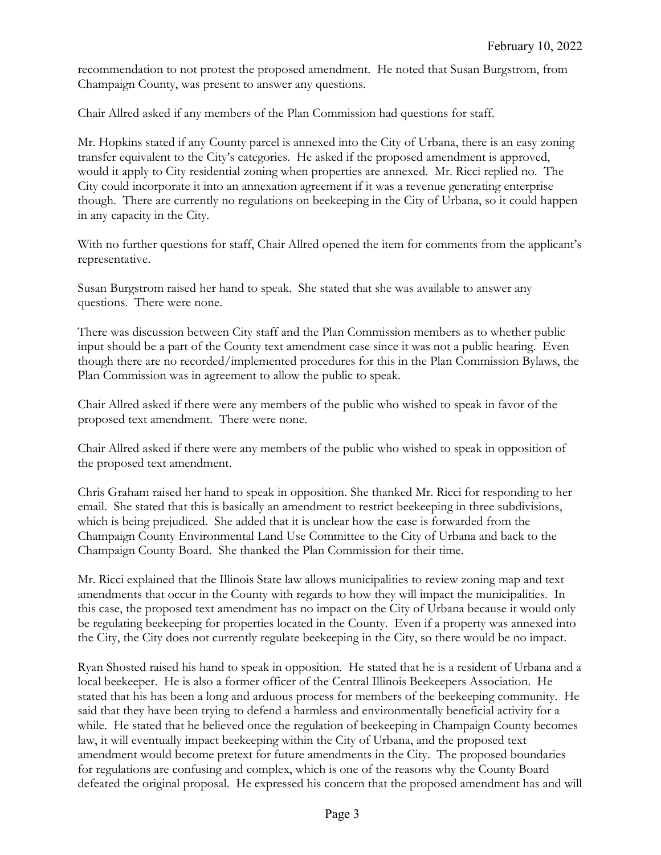recommendation to not protest the proposed amendment. He noted that Susan Burgstrom, from Champaign County, was present to answer any questions.

Chair Allred asked if any members of the Plan Commission had questions for staff.

Mr. Hopkins stated if any County parcel is annexed into the City of Urbana, there is an easy zoning transfer equivalent to the City's categories. He asked if the proposed amendment is approved, would it apply to City residential zoning when properties are annexed. Mr. Ricci replied no. The City could incorporate it into an annexation agreement if it was a revenue generating enterprise though. There are currently no regulations on beekeeping in the City of Urbana, so it could happen in any capacity in the City.

With no further questions for staff, Chair Allred opened the item for comments from the applicant's representative.

Susan Burgstrom raised her hand to speak. She stated that she was available to answer any questions. There were none.

There was discussion between City staff and the Plan Commission members as to whether public input should be a part of the County text amendment case since it was not a public hearing. Even though there are no recorded/implemented procedures for this in the Plan Commission Bylaws, the Plan Commission was in agreement to allow the public to speak.

Chair Allred asked if there were any members of the public who wished to speak in favor of the proposed text amendment. There were none.

Chair Allred asked if there were any members of the public who wished to speak in opposition of the proposed text amendment.

Chris Graham raised her hand to speak in opposition. She thanked Mr. Ricci for responding to her email. She stated that this is basically an amendment to restrict beekeeping in three subdivisions, which is being prejudiced. She added that it is unclear how the case is forwarded from the Champaign County Environmental Land Use Committee to the City of Urbana and back to the Champaign County Board. She thanked the Plan Commission for their time.

Mr. Ricci explained that the Illinois State law allows municipalities to review zoning map and text amendments that occur in the County with regards to how they will impact the municipalities. In this case, the proposed text amendment has no impact on the City of Urbana because it would only be regulating beekeeping for properties located in the County. Even if a property was annexed into the City, the City does not currently regulate beekeeping in the City, so there would be no impact.

Ryan Shosted raised his hand to speak in opposition. He stated that he is a resident of Urbana and a local beekeeper. He is also a former officer of the Central Illinois Beekeepers Association. He stated that his has been a long and arduous process for members of the beekeeping community. He said that they have been trying to defend a harmless and environmentally beneficial activity for a while. He stated that he believed once the regulation of beekeeping in Champaign County becomes law, it will eventually impact beekeeping within the City of Urbana, and the proposed text amendment would become pretext for future amendments in the City. The proposed boundaries for regulations are confusing and complex, which is one of the reasons why the County Board defeated the original proposal. He expressed his concern that the proposed amendment has and will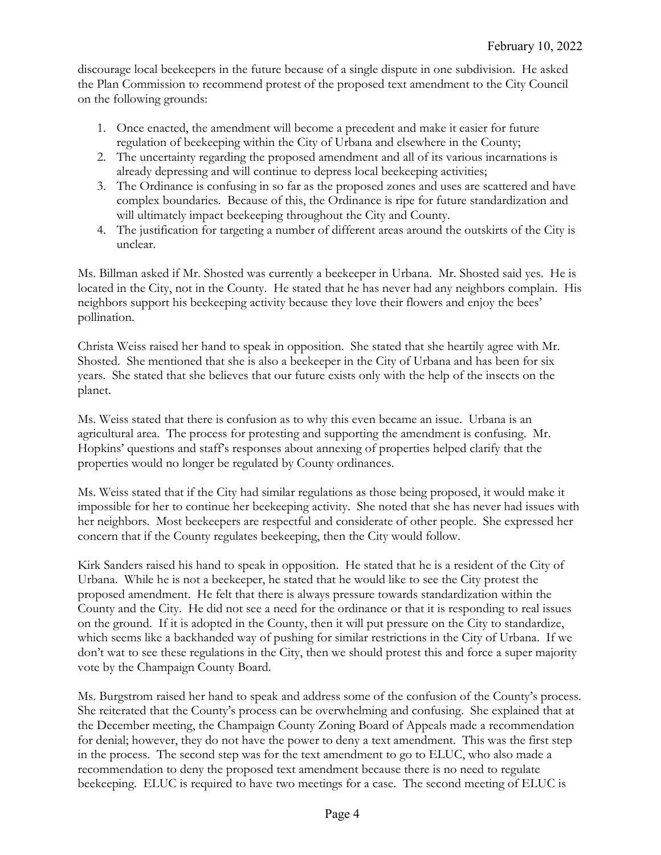discourage local beekeepers in the future because of a single dispute in one subdivision. He asked the Plan Commission to recommend protest of the proposed text amendment to the City Council on the following grounds:

- 1. Once enacted, the amendment will become a precedent and make it easier for future regulation of beekeeping within the City of Urbana and elsewhere in the County;
- 2. The uncertainty regarding the proposed amendment and all of its various incarnations is already depressing and will continue to depress local beekeeping activities;
- 3. The Ordinance is confusing in so far as the proposed zones and uses are scattered and have complex boundaries. Because of this, the Ordinance is ripe for future standardization and will ultimately impact beekeeping throughout the City and County.
- 4. The justification for targeting a number of different areas around the outskirts of the City is unclear.

Ms. Billman asked if Mr. Shosted was currently a beekeeper in Urbana. Mr. Shosted said yes. He is located in the City, not in the County. He stated that he has never had any neighbors complain. His neighbors support his beekeeping activity because they love their flowers and enjoy the bees' pollination.

Christa Weiss raised her hand to speak in opposition. She stated that she heartily agree with Mr. Shosted. She mentioned that she is also a beekeeper in the City of Urbana and has been for six years. She stated that she believes that our future exists only with the help of the insects on the planet.

Ms. Weiss stated that there is confusion as to why this even became an issue. Urbana is an agricultural area. The process for protesting and supporting the amendment is confusing. Mr. Hopkins' questions and staff's responses about annexing of properties helped clarify that the properties would no longer be regulated by County ordinances.

Ms. Weiss stated that if the City had similar regulations as those being proposed, it would make it impossible for her to continue her beekeeping activity. She noted that she has never had issues with her neighbors. Most beekeepers are respectful and considerate of other people. She expressed her concern that if the County regulates beekeeping, then the City would follow.

Kirk Sanders raised his hand to speak in opposition. He stated that he is a resident of the City of Urbana. While he is not a beekeeper, he stated that he would like to see the City protest the proposed amendment. He felt that there is always pressure towards standardization within the County and the City. He did not see a need for the ordinance or that it is responding to real issues on the ground. If it is adopted in the County, then it will put pressure on the City to standardize, which seems like a backhanded way of pushing for similar restrictions in the City of Urbana. If we don't wat to see these regulations in the City, then we should protest this and force a super majority vote by the Champaign County Board.

Ms. Burgstrom raised her hand to speak and address some of the confusion of the County's process. She reiterated that the County's process can be overwhelming and confusing. She explained that at the December meeting, the Champaign County Zoning Board of Appeals made a recommendation for denial; however, they do not have the power to deny a text amendment. This was the first step in the process. The second step was for the text amendment to go to ELUC, who also made a recommendation to deny the proposed text amendment because there is no need to regulate beekeeping. ELUC is required to have two meetings for a case. The second meeting of ELUC is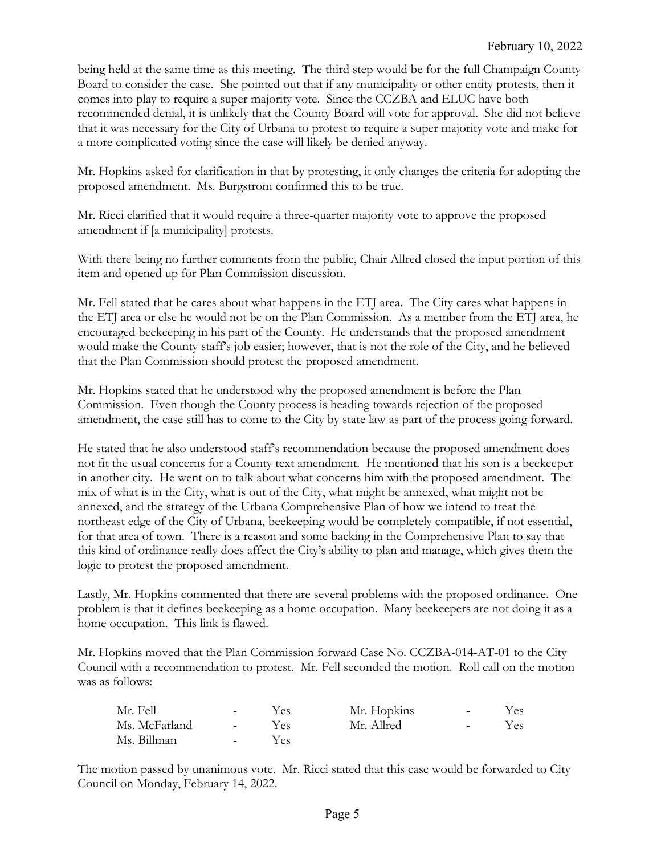being held at the same time as this meeting. The third step would be for the full Champaign County Board to consider the case. She pointed out that if any municipality or other entity protests, then it comes into play to require a super majority vote. Since the CCZBA and ELUC have both recommended denial, it is unlikely that the County Board will vote for approval. She did not believe that it was necessary for the City of Urbana to protest to require a super majority vote and make for a more complicated voting since the case will likely be denied anyway.

Mr. Hopkins asked for clarification in that by protesting, it only changes the criteria for adopting the proposed amendment. Ms. Burgstrom confirmed this to be true.

Mr. Ricci clarified that it would require a three-quarter majority vote to approve the proposed amendment if [a municipality] protests.

With there being no further comments from the public, Chair Allred closed the input portion of this item and opened up for Plan Commission discussion.

Mr. Fell stated that he cares about what happens in the ETJ area. The City cares what happens in the ETJ area or else he would not be on the Plan Commission. As a member from the ETJ area, he encouraged beekeeping in his part of the County. He understands that the proposed amendment would make the County staff's job easier; however, that is not the role of the City, and he believed that the Plan Commission should protest the proposed amendment.

Mr. Hopkins stated that he understood why the proposed amendment is before the Plan Commission. Even though the County process is heading towards rejection of the proposed amendment, the case still has to come to the City by state law as part of the process going forward.

He stated that he also understood staff's recommendation because the proposed amendment does not fit the usual concerns for a County text amendment. He mentioned that his son is a beekeeper in another city. He went on to talk about what concerns him with the proposed amendment. The mix of what is in the City, what is out of the City, what might be annexed, what might not be annexed, and the strategy of the Urbana Comprehensive Plan of how we intend to treat the northeast edge of the City of Urbana, beekeeping would be completely compatible, if not essential, for that area of town. There is a reason and some backing in the Comprehensive Plan to say that this kind of ordinance really does affect the City's ability to plan and manage, which gives them the logic to protest the proposed amendment.

Lastly, Mr. Hopkins commented that there are several problems with the proposed ordinance. One problem is that it defines beekeeping as a home occupation. Many beekeepers are not doing it as a home occupation. This link is flawed.

Mr. Hopkins moved that the Plan Commission forward Case No. CCZBA-014-AT-01 to the City Council with a recommendation to protest. Mr. Fell seconded the motion. Roll call on the motion was as follows:

| Mr. Fell      | $\sim$ $-$      | Yes  | Mr. Hopkins | $\sim$           | Yes |
|---------------|-----------------|------|-------------|------------------|-----|
| Ms. McFarland | $\sim 10^{-10}$ | Yes. | Mr. Allred  | $\sim$ 100 $\mu$ | Yes |
| Ms. Billman   | $\sim$ $\sim$   | Yes. |             |                  |     |

The motion passed by unanimous vote. Mr. Ricci stated that this case would be forwarded to City Council on Monday, February 14, 2022.